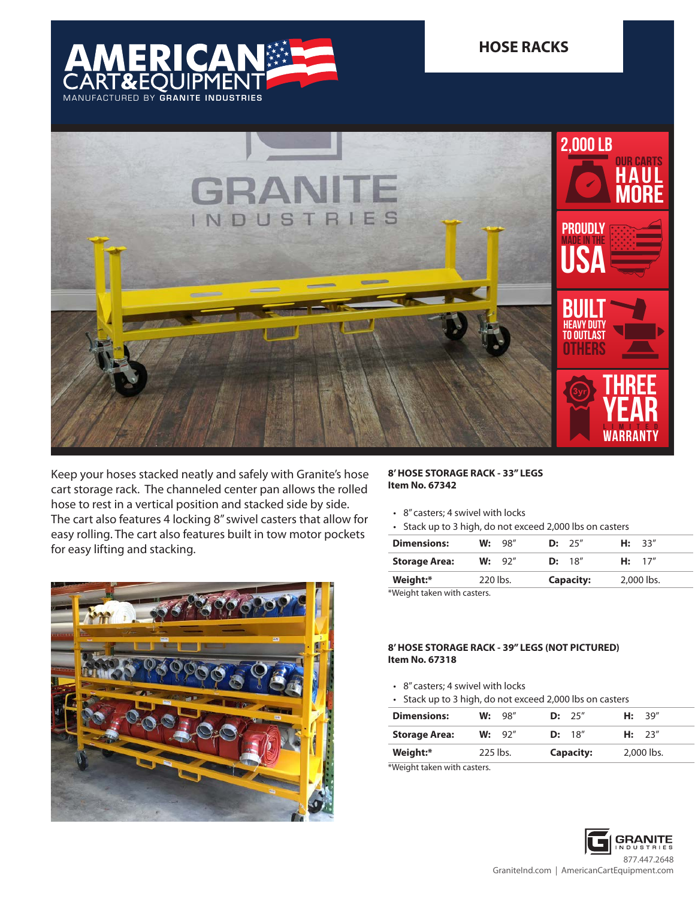



Keep your hoses stacked neatly and safely with Granite's hose cart storage rack. The channeled center pan allows the rolled hose to rest in a vertical position and stacked side by side. The cart also features 4 locking 8" swivel casters that allow for easy rolling. The cart also features built in tow motor pockets for easy lifting and stacking.



## **8' HOSE STORAGE RACK - 33" LEGS Item No. 67342**

- 8" casters; 4 swivel with locks
- Stack up to 3 high, do not exceed 2,000 lbs on casters

| <b>Dimensions:</b>        |          | W: 98" |                  | D: 25"  |            | H: 33'' |  |
|---------------------------|----------|--------|------------------|---------|------------|---------|--|
| <b>Storage Area:</b>      |          | W: 92" |                  | D: 18'' |            | H: 17'' |  |
| Weight:*                  | 220 lbs. |        | <b>Capacity:</b> |         | 2.000 lbs. |         |  |
| Waight taken with casters |          |        |                  |         |            |         |  |

Weight taken with casters.

## **8' HOSE STORAGE RACK - 39" LEGS (NOT PICTURED) Item No. 67318**

- 8" casters; 4 swivel with locks
- Stack up to 3 high, do not exceed 2,000 lbs on casters

| <b>Dimensions:</b>   |            | W: 98" | D: 25"           | H: 39''    |
|----------------------|------------|--------|------------------|------------|
| <b>Storage Area:</b> |            | W: 92" | D: 18''          | H: 23''    |
| Weight:*             | $225$ lbs. |        | <b>Capacity:</b> | 2,000 lbs. |

\*Weight taken with casters.